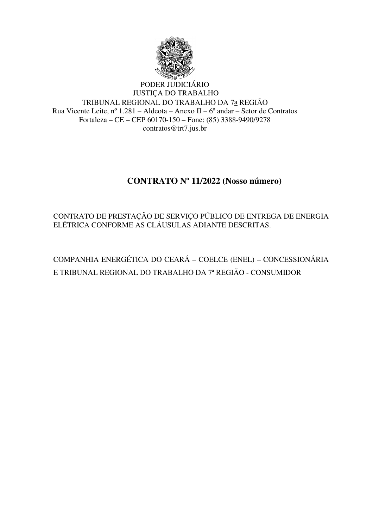

### PODER JUDICIÁRIO JUSTIÇA DO TRABALHO TRIBUNAL REGIONAL DO TRABALHO DA 7a REGIÃO Rua Vicente Leite, nº 1.281 – Aldeota – Anexo II – 6º andar – Setor de Contratos Fortaleza – CE – CEP 60170-150 – Fone: (85) 3388-9490/9278 contratos@trt7.jus.br

# **CONTRATO Nº 11/2022 (Nosso número)**

CONTRATO DE PRESTAÇÃO DE SERVIÇO PÚBLICO DE ENTREGA DE ENERGIA ELÉTRICA CONFORME AS CLÁUSULAS ADIANTE DESCRITAS.

COMPANHIA ENERGÉTICA DO CEARÁ – COELCE (ENEL) – CONCESSIONÁRIA E TRIBUNAL REGIONAL DO TRABALHO DA 7ª REGIÃO - CONSUMIDOR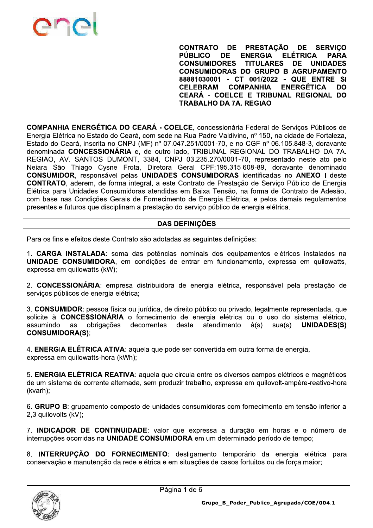

**PRESTACÃO CONTRATO DE DE SERVICO ELÉTRICA PÚBLICO DE ENERGIA PARA CONSUMIDORES TITULARES** DE **UNIDADES CONSUMIDORAS DO GRUPO B AGRUPAMENTO** 88881030001 - CT 001/2022 - QUE ENTRE SI **CELEBRAM COMPANHIA ENERGÉTICA** DO CEARÁ - COELCE E TRIBUNAL REGIONAL DO **TRABALHO DA 7A, REGIAO** 

COMPANHIA ENERGÉTICA DO CEARÁ - COELCE, concessionária Federal de Servicos Públicos de Energia Elétrica no Estado do Ceará, com sede na Rua Padre Valdivino, nº 150, na cidade de Fortaleza. Estado do Ceará, inscrita no CNPJ (MF) nº 07.047.251/0001-70, e no CGF nº 06.105.848-3, doravante denominada CONCESSIONÁRIA e, de outro lado, TRIBUNAL REGIONAL DO TRABALHO DA 7A. REGIAO, AV. SANTOS DUMONT, 3384, CNPJ 03.235.270/0001-70, representado neste ato pelo Neiara São Thiago Cysne Frota, Diretora Geral CPF:195.315.608-89, doravante denominado **CONSUMIDOR**, responsável pelas UNIDADES CONSUMIDORAS identificadas no ANEXO I deste CONTRATO, aderem, de forma integral, a este Contrato de Prestação de Serviço Público de Energia Elétrica para Unidades Consumidoras atendidas em Baixa Tensão, na forma de Contrato de Adesão, com base nas Condições Gerais de Fornecimento de Energia Elétrica, e pelos demais regulamentos presentes e futuros que disciplinam a prestação do serviço público de energia elétrica.

### **DAS DEFINICÕES**

Para os fins e efeitos deste Contrato são adotadas as seguintes definições:

1. CARGA INSTALADA: soma das potências nominais dos equipamentos elétricos instalados na UNIDADE CONSUMIDORA, em condições de entrar em funcionamento, expressa em quilowatts, expressa em quilowatts (kW);

2. CONCESSIONÁRIA: empresa distribuidora de energia elétrica, responsável pela prestação de serviços públicos de energia elétrica;

3. CONSUMIDOR: pessoa física ou jurídica, de direito público ou privado, legalmente representada, que solicite à **CONCESSIONÁRIA** o fornecimento de energia elétrica ou o uso do sistema elétrico, assumindo as obrigações decorrentes deste atendimento à(s)  $sua(s)$ **UNIDADES(S) CONSUMIDORA(S):** 

4. ENERGIA ELÉTRICA ATIVA: aquela que pode ser convertida em outra forma de energia. expressa em quilowatts-hora (kWh);

5. ENERGIA ELÉTRICA REATIVA: aquela que circula entre os diversos campos elétricos e magnéticos de um sistema de corrente alternada, sem produzir trabalho, expressa em quilovolt-ampère-reativo-hora (kvarh);

6. GRUPO B: grupamento composto de unidades consumidoras com fornecimento em tensão inferior a 2,3 quilovolts (kV);

7. INDICADOR DE CONTINUIDADE: valor que expressa a duração em horas e o número de interrupções ocorridas na UNIDADE CONSUMIDORA em um determinado período de tempo;

8. INTERRUPÇÃO DO FORNECIMENTO: desligamento temporário da energia elétrica para conservação e manutenção da rede elétrica e em situações de casos fortuitos ou de força maior;

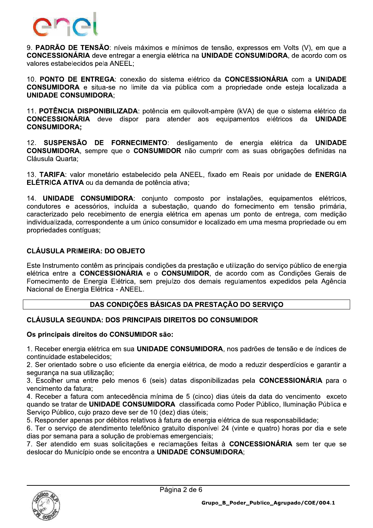

9. PADRÃO DE TENSÃO: níveis máximos e mínimos de tensão, expressos em Volts (V), em que a **CONCESSIONÁRIA** deve entregar a energia elétrica na UNIDADE CONSUMIDORA, de acordo com os valores estabelecidos pela ANEEL;

10. PONTO DE ENTREGA: conexão do sistema elétrico da CONCESSIONÁRIA com a UNIDADE **CONSUMIDORA** e situa-se no limite da via pública com a propriedade onde esteia localizada a **UNIDADE CONSUMIDORA:** 

11. POTÊNCIA DISPONIBILIZADA: potência em quilovolt-ampère (kVA) de que o sistema elétrico da **CONCESSIONÁRIA** deve dispor para atender aos equipamentos elétricos da **UNIDADE CONSUMIDORA:** 

12. SUSPENSÃO DE FORNECIMENTO: desligamento de energia elétrica da **UNIDADE** CONSUMIDORA, sempre que o CONSUMIDOR não cumprir com as suas obrigações definidas na Cláusula Quarta:

13. TARIFA: valor monetário estabelecido pela ANEEL, fixado em Reais por unidade de ENERGIA ELÉTRICA ATIVA ou da demanda de potência ativa;

14. UNIDADE CONSUMIDORA: conjunto composto por instalações, equipamentos elétricos, condutores e acessórios, incluída a subestação, quando do fornecimento em tensão primária, caracterizado pelo recebimento de energia elétrica em apenas um ponto de entrega, com medição individualizada, correspondente a um único consumidor e localizado em uma mesma propriedade ou em propriedades contíquas:

## **CLÁUSULA PRIMEIRA: DO OBJETO**

Este Instrumento contêm as principais condições da prestação e utilização do serviço público de energia elétrica entre a CONCESSIONÁRIA e o CONSUMIDOR, de acordo com as Condições Gerais de Fornecimento de Energia Elétrica, sem prejuízo dos demais regulamentos expedidos pela Agência Nacional de Energia Elétrica - ANEEL.

### DAS CONDIÇÕES BÁSICAS DA PRESTAÇÃO DO SERVIÇO

### **CLÁUSULA SEGUNDA: DOS PRINCIPAIS DIREITOS DO CONSUMIDOR**

#### Os principais direitos do CONSUMIDOR são:

1. Receber energia elétrica em sua UNIDADE CONSUMIDORA, nos padrões de tensão e de índices de continuidade estabelecidos:

2. Ser orientado sobre o uso eficiente da energia elétrica, de modo a reduzir desperdícios e garantir a seguranca na sua utilização:

3. Escolher uma entre pelo menos 6 (seis) datas disponibilizadas pela **CONCESSIONÁRIA** para o vencimento da fatura:

4. Receber a fatura com antecedência mínima de 5 (cinco) dias úteis da data do vencimento exceto quando se tratar de UNIDADE CONSUMIDORA classificada como Poder Público, Iluminação Pública e Serviço Público, cujo prazo deve ser de 10 (dez) dias úteis;

5. Responder apenas por débitos relativos à fatura de energia elétrica de sua responsabilidade;

6. Ter o serviço de atendimento telefônico gratuito disponível 24 (vinte e quatro) horas por dia e sete dias por semana para a solução de problemas emergenciais:

7. Ser atendido em suas solicitações e reclamações feitas à CONCESSIONÁRIA sem ter que se deslocar do Município onde se encontra a UNIDADE CONSUMIDORA:

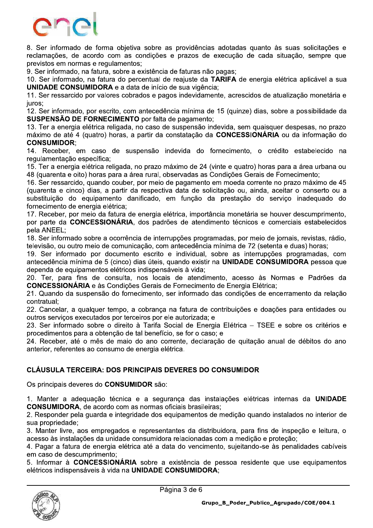

8. Ser informado de forma obietiva sobre as providências adotadas quanto às suas solicitações e reclamações, de acordo com as condições e prazos de execução de cada situação, sempre que previstos em normas e regulamentos;

9. Ser informado, na fatura, sobre a existência de faturas não pagas;

10. Ser informado, na fatura do percentual de reajuste da TARIFA de energia elétrica aplicável a sua **UNIDADE CONSUMIDORA** e a data de início de sua vigência:

11. Ser ressarcido por valores cobrados e pagos indevidamente, acrescidos de atualização monetária e juros:

12. Ser informado, por escrito, com antecedência mínima de 15 (quinze) dias, sobre a possibilidade da SUSPENSÃO DE FORNECIMENTO por falta de pagamento;

13. Ter a energia elétrica religada, no caso de suspensão indevida, sem quaisquer despesas, no prazo máximo de até 4 (quatro) horas, a partir da constatação da CONCESSIONÁRIA ou da informação do **CONSUMIDOR:** 

14. Receber, em caso de suspensão indevida do fornecimento, o crédito estabelecido na regulamentação específica:

15. Ter a energia elétrica religada, no prazo máximo de 24 (vinte e quatro) horas para a área urbana ou 48 (quarenta e oito) horas para a área rural, observadas as Condições Gerais de Fornecimento;

16. Ser ressarcido, quando couber, por meio de pagamento em moeda corrente no prazo máximo de 45 (quarenta e cinco) dias, a partir da respectiva data de solicitação ou, ainda, aceitar o conserto ou a substituição do equipamento danificado, em função da prestação do serviço inadequado do fornecimento de energia elétrica;

17. Receber, por meio da fatura de energia elétrica, importância monetária se houver descumprimento, por parte da CONCESSIONÁRIA, dos padrões de atendimento técnicos e comerciais estabelecidos pela ANEEL:

18. Ser informado sobre a ocorrência de interrupções programadas, por meio de jornais, revistas, rádio, televisão, ou outro meio de comunicação, com antecedência mínima de 72 (setenta e duas) horas;

19. Ser informado por documento escrito e individual, sobre as interrupções programadas, com antecedência mínima de 5 (cinco) dias úteis, quando existir na UNIDADE CONSUMIDORA pessoa que dependa de equipamentos elétricos indispensáveis à vida;

20. Ter, para fins de consulta, nos locais de atendimento, acesso às Normas e Padrões da **CONCESSIONÁRIA** e às Condições Gerais de Fornecimento de Energia Elétrica:

21. Quando da suspensão do fornecimento, ser informado das condições de encerramento da relação contratual:

22. Cancelar, a qualquer tempo, a cobranca na fatura de contribuições e doações para entidades ou outros serviços executados por terceiros por ele autorizada; e

23. Ser informado sobre o direito à Tarifa Social de Energia Elétrica - TSEE e sobre os critérios e procedimentos para a obtenção de tal benefício, se for o caso; e

24. Receber, até o mês de maio do ano corrente, declaração de quitação anual de débitos do ano anterior, referentes ao consumo de energia elétrica.

### **CLÁUSULA TERCEIRA: DOS PRINCIPAIS DEVERES DO CONSUMIDOR**

Os principais deveres do CONSUMIDOR são:

1. Manter a adequação técnica e a segurança das instalações elétricas internas da UNIDADE **CONSUMIDORA.** de acordo com as normas oficiais brasileiras:

2. Responder pela guarda e integridade dos equipamentos de medição quando instalados no interior de sua propriedade:

3. Manter livre, aos empregados e representantes da distribuidora, para fins de inspeção e leitura, o acesso às instalações da unidade consumidora relacionadas com a medição e proteção;

4. Pagar a fatura de energia elétrica até a data do vencimento, sujeitando-se às penalidades cabíveis em caso de descumprimento;

5. Informar à CONCESSIONÁRIA sobre a existência de pessoa residente que use equipamentos elétricos indispensáveis à vida na UNIDADE CONSUMIDORA;

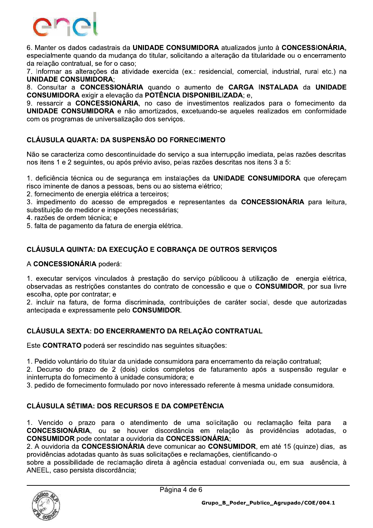

6. Manter os dados cadastrais da UNIDADE CONSUMIDORA atualizados junto à CONCESSIONÁRIA. especialmente quando da mudanca do titular, solicitando a alteração da titularidade ou o encerramento da relação contratual, se for o caso:

7. Informar as alterações da atividade exercida (ex.: residencial, comercial, industrial, rural etc.) na **UNIDADE CONSUMIDORA:** 

8. Consultar a CONCESSIONÁRIA quando o aumento de CARGA INSTALADA da UNIDADE **CONSUMIDORA** exigir a elevação da **POTÊNCIA DISPONIBILIZADA**: e.

9. ressarcir a CONCESSIONÁRIA, no caso de investimentos realizados para o fornecimento da UNIDADE CONSUMIDORA e não amortizados, excetuando-se aqueles realizados em conformidade com os programas de universalização dos serviços.

### **CLÁUSULA QUARTA: DA SUSPENSÃO DO FORNECIMENTO**

Não se caracteriza como descontinuidade do serviço a sua interrupção imediata, pelas razões descritas nos itens 1 e 2 seguintes, ou após prévio aviso, pelas razões descritas nos itens 3 a 5:

1. deficiência técnica ou de segurança em instalações da UNIDADE CONSUMIDORA que ofereçam risco iminente de danos a pessoas, bens ou ao sistema elétrico;

2. fornecimento de energia elétrica a terceiros;

3. impedimento do acesso de empregados e representantes da CONCESSIONÁRIA para leitura, substituição de medidor e inspeções necessárias:

4. razões de ordem técnica; e

5. falta de pagamento da fatura de energia elétrica.

# CLÁUSULA QUINTA: DA EXECUÇÃO E COBRANÇA DE OUTROS SERVIÇOS

#### A CONCESSIONÁRIA poderá:

1. executar servicos vinculados à prestação do servico públicoou à utilização de energia elétrica. observadas as restrições constantes do contrato de concessão e que o CONSUMIDOR, por sua livre escolha, opte por contratar: e

2. incluir na fatura, de forma discriminada, contribuições de caráter social, desde que autorizadas antecipada e expressamente pelo CONSUMIDOR.

### CLÁUSULA SEXTA: DO ENCERRAMENTO DA RELAÇÃO CONTRATUAL

Este CONTRATO poderá ser rescindido nas seguintes situações:

1. Pedido voluntário do titular da unidade consumidora para encerramento da relação contratual;

2. Decurso do prazo de 2 (dois) ciclos completos de faturamento após a suspensão regular e ininterrupta do fornecimento à unidade consumidora; e

3. pedido de fornecimento formulado por novo interessado referente à mesma unidade consumidora.

### **CLÁUSULA SÉTIMA: DOS RECURSOS E DA COMPETÊNCIA**

1. Vencido o prazo para o atendimento de uma solicitação ou reclamação feita para  $\mathbf{a}$ CONCESSIONÁRIA, ou se houver discordância em relação às providências adotadas,  $\Omega$ **CONSUMIDOR** pode contatar a ouvidoria da **CONCESSIONÁRIA**;

2. A ouvidoria da CONCESSIONÁRIA deve comunicar ao CONSUMIDOR, em até 15 (quinze) dias, as providências adotadas quanto às suas solicitações e reclamações, cientificando-o

sobre a possibilidade de reclamação direta à agência estadual conveniada ou, em sua ausência, à ANEEL, caso persista discordância;

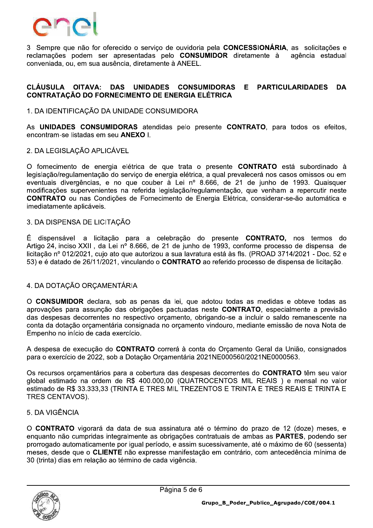

3 Sempre que não for oferecido reclamações podem ser apres<br>
conveniada, ou, em sua ausência,<br>
CLÁUSULA OITAVA: DAS<br>
CONTRATAÇÃO DO FORNECIM<br>
1. DA IDENTIFICAÇÃO DA UNID, o o serviço de ouvidoria pela CONCESSIONARIA, as solicitações e reclamações podem ser apresentadas pelo **CONSUMIDOR** diretamente a agencia estadual conveniada, ou, em sua ausencia, diretamente a ANEEL.

#### CLÁUSULA OITAVA: DAS UNIDADES CONSUMIDORAS E PARTICULARIDADES DA CONTRATACÃO DO FORNECIMENTO DE ENERGIA ELÉTRICA

#### $\mathbf{r}$ 1. DA IDENTIFICAÇÃO DA UNIDADE CONSUMIDORA

As UNIDADES CONSUMIDORAS atendidas pelo presente CONTRATO, para todos os efeitos, encontram-se listadas em seu **ANEXO** I.

#### i. Z. DA LEGISLAÇÃO APLICAVEL

 $\mathbf{r}$ O fornecimento de energía eletrica de que trata o presente **CONTRATO** esta subordinado a legislação/regulamentação do serviço de energia eletrica, a qual prevalecera nos casos omissos ou em eventuais divergencias, e no que couper a Lei nº 8.666, de 21 de junho de As **UNIDADES CONSUMIDORAS** atendidas pelo presente **CONTRATO**, para todos os efeitos,<br>encontram-se listadas em seu **ANEXO** I.<br>2. DA LEGISLAÇÃO APLICÁVEL<br>O fornecimento de energia elétrica de que trata o presente **CONTRATO** ificações supervenientes na referida legislação/regulamentação, que venham a repercutir neste CONTRATO ou has Condições de Fornecimento de Energia Eletrica, considerar-se-ão automática e imediatamente aplicaveis. O fornecimento de de legislação/regulamenta<br>
eventuais divergência<br>
modificações superve<br> **CONTRATO** ou nas (<br>
imediatamente aplicáv<br>
3. DA DISPENSA DE l<br>
É dispensável a l<br>
Artigo 24, inciso XXII,<br>
licitação nº 012/2021,

#### $\mathbb{R}^{\mathbb{Z}}$ ENSA DE LIGHAÇÃO

E dispensavel a licitação para a celebração do presente CONTRATO, nos termos do G+@/ds?12/ttXX? JklK? dV m-n/ 2\*2 ber à Lei nº 8.666, de 21 de junho de 199<br>
legislação/regulamentação, que venham a reecimento de Energia Elétrica, considerar-se-ão<br>
celebração do presente **CONTRATO**, no:<br>
e 21 de junho de 1993, conforme processo de<br>
ou a licitação nº 012/2021, cujo ato que autorizou a sua lavratura está às fls. (PROAD 3714/2021 - Doc. 52 e atado de Z6/T1/Z0Z1, Vinculando o **CONTRATO** ao referido processo de dispensa de licitação.

#### 4. DA DOTACÃO ORCAMENTÁRIA

modificações supervenientes na referida legislação/regulamentação, que venham a repercutir neste<br> **CONTRATO** ou nas Condições de Fornecimento de Energia Elétrica, considerar-se-ão automática e<br>
imediatamente aplicáveis.<br>
3  $\mathbb{R}^2$  $\sigma$  **CONSUMIDOR** declara, sob as penas da lei, que adotou todas as medidas e obteve todas as aprovações para assunção das obrigações pactuadas neste CONTRATO, especialmente a previsão das despesas decorrentes no respectivo orçamento, obrigando-se a incluir o saldo remanescente na conta da dotação orçamentaria consignada no orçamento vindouro, mediante emissão de nova Nota de<br>— Empenno no início de cada exercício. O **CONSUMIDOR** declara, sob as penas da lei, que adotou todas as medidas e obteve todas as aprovações para assunção das obrigações pactuadas neste **CONTRATO**, especialmente a previsão das despesas decorrentes no respectivo

 $\mathbb{R}^2$ A despesa de execução do CONTRATO correra a conta do Orçamento Geral da União, consignados para o exercício de 2022, sob a Dotacão Orcamentária 2021NE000560/2021NE0000563.

Us recursos orçamentarios para a cobertura das despesas decorrentes do CONTRATO tem seu valor giobal estimado na ordem de R\$ 400.000,00 (QUATROCENTOS MIL REAIS ) e mensal no valor estimado de<br>————————

#### 5. DA VIGÊNCIA

conta da dotação orçamentária consignada no orçamento vindouro, mediante emissão de nova Nota de<br>
Empenho no início de cada exercício.<br>
A despesa de execução do **CONTRATO** correrá à conta do Orçamento Geral da União, consi  $\mathbf{r}$ O **CONTRATO** vigorara da data de sua assinatura até o termino do prazo de 12 (doze) meses, e enquanto nao cumpridas integralmente as obrigações contratuais de ambas as **PARTES**, podendo ser prorrogado automaticamente por igual período, e assim sucessivamente, até o maximo de 60 (sessenta) meses, desde que o CLIENTE hao expresse manifestação em contrario, com antecedencia minima de TRES CENTAVOS).<br>
5. DA VIGÊNCIA<br>
O CONTRATO vigorará da data de sua assinatura até o término do prazo de 12 (doze) meses, e<br>
enquanto não cumpridas integralmente as obrigações contratuais de ambas as **PARTES**, podendo ser<br> ias em relação ao termino de cada vigencia.



 $\overline{\phantom{0}}$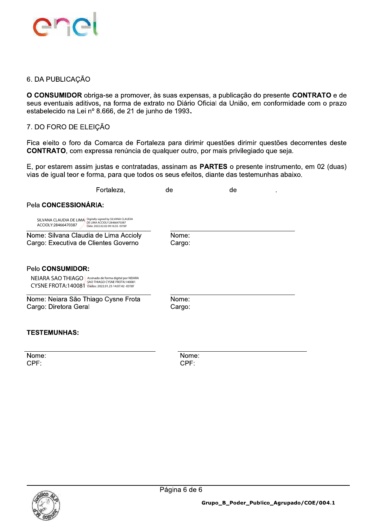

#### 6. DA PUBLICAÇÃO

O CONSUMIDOR obriga-se a promover, às suas expensas, a publicação do presente CONTRATO e de seus eventuais aditivos, na forma de extrato no Diário Oficial da União, em conformidade com o prazo estabelecido na Lei nº 8.666, de 21 de junho de 1993.

#### 7. DO FORO DE ELEIÇÃO

Fica eleito o foro da Comarca de Fortaleza para dirimir questões dirimir questões decorrentes deste CONTRATO, com expressa renúncia de qualquer outro, por mais privilegiado que seja.

E, por estarem assim justas e contratadas, assinam as **PARTES** o presente instrumento, em 02 (duas) vias de igual teor e forma, para que todos os seus efeitos, diante das testemunhas abaixo.

|                                                                                    | Fortaleza,                                                                                                  | de                  | de |  |
|------------------------------------------------------------------------------------|-------------------------------------------------------------------------------------------------------------|---------------------|----|--|
| Pela CONCESSIONÁRIA:                                                               |                                                                                                             |                     |    |  |
| SILVANA CLAUDIA DE LIMA Digitally signed by SILVANA CLAUDIA<br>ACCIOLY:28466470387 | DE LIMA ACCIOLY:28466470387<br>Date: 2022.02.02 09:16:55 -03'00'                                            |                     |    |  |
| Nome: Silvana Claudia de Lima Accioly<br>Cargo: Executiva de Clientes Governo      |                                                                                                             | Nome:<br>Cargo:     |    |  |
| Pelo CONSUMIDOR:<br>NEIARA SAO THIAGO<br>CYSNE FROTA:140081                        | Assinado de forma digital por NEIARA<br>SAO THIAGO CYSNE FROTA:140081<br>Dados: 2022.01.25 14:07:42 -03'00' |                     |    |  |
| Nome: Neiara São Thiago Cysne Frota<br>Cargo: Diretora Geral                       |                                                                                                             | Nome:<br>Cargo:     |    |  |
| <b>TESTEMUNHAS:</b>                                                                |                                                                                                             |                     |    |  |
| Name:                                                                              |                                                                                                             | <b>N</b> I a ma a s |    |  |

Nome: CPF:

Nome: CPF:

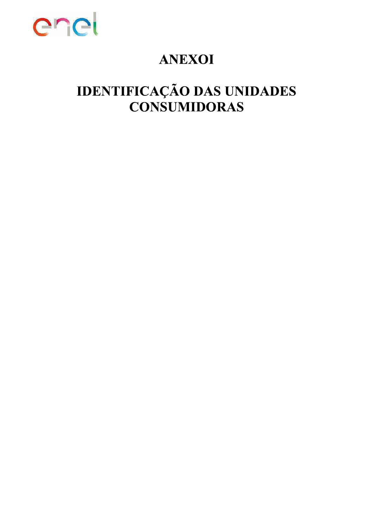

# **ANEXOI**

# **IDENTIFICAÇÃO DAS UNIDADES CONSUMIDORAS**